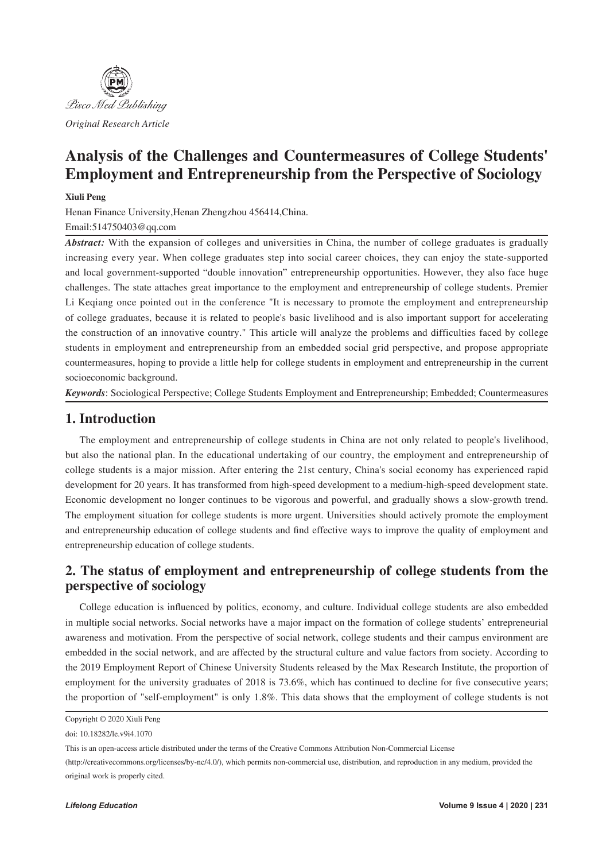

# **Analysis of the Challenges and Countermeasures of College Students' Employment and Entrepreneurship from the Perspective of Sociology**

#### **Xiuli Peng**

Henan Finance University,Henan Zhengzhou 456414,China. Email:514750403@qq.com

*Abstract:* With the expansion of colleges and universities in China, the number of college graduates is gradually increasing every year. When college graduates step into social career choices, they can enjoy the state-supported and local government-supported "double innovation" entrepreneurship opportunities. However, they also face huge challenges. The state attaches great importance to the employment and entrepreneurship of college students. Premier Li Keqiang once pointed out in the conference "It is necessary to promote the employment and entrepreneurship of college graduates, because it is related to people's basic livelihood and is also important support for accelerating the construction of an innovative country." This article will analyze the problems and difficulties faced by college students in employment and entrepreneurship from an embedded social grid perspective, and propose appropriate countermeasures, hoping to provide a little help for college students in employment and entrepreneurship in the current socioeconomic background.

*Keywords*: Sociological Perspective; College Students Employment and Entrepreneurship; Embedded; Countermeasures

## **1. Introduction**

The employment and entrepreneurship of college students in China are not only related to people's livelihood, but also the national plan. In the educational undertaking of our country, the employment and entrepreneurship of college students is a major mission. After entering the 21st century, China's social economy has experienced rapid development for 20 years. It has transformed from high-speed development to a medium-high-speed development state. Economic development no longer continues to be vigorous and powerful, and gradually shows a slow-growth trend. The employment situation for college students is more urgent. Universities should actively promote the employment and entrepreneurship education of college students and find effective ways to improve the quality of employment and entrepreneurship education of college students.

## **2. The status of employment and entrepreneurship of college students from the perspective of sociology**

College education is influenced by politics, economy, and culture. Individual college students are also embedded in multiple social networks. Social networks have a major impact on the formation of college students' entrepreneurial awareness and motivation. From the perspective of social network, college students and their campus environment are embedded in the social network, and are affected by the structural culture and value factors from society. According to the 2019 Employment Report of Chinese University Students released by the Max Research Institute, the proportion of employment for the university graduates of 2018 is 73.6%, which has continued to decline for five consecutive years; the proportion of "self-employment" is only 1.8%. This data shows that the employment of college students is not

Copyright © 2020 Xiuli Peng

doi: 10.18282/le.v9i4.1070

This is an open-access article distributed under the terms of the Creative Commons Attribution Non-Commercial License

<sup>(</sup>http://creativecommons.org/licenses/by-nc/4.0/), which permits non-commercial use, distribution, and reproduction in any medium, provided the original work is properly cited.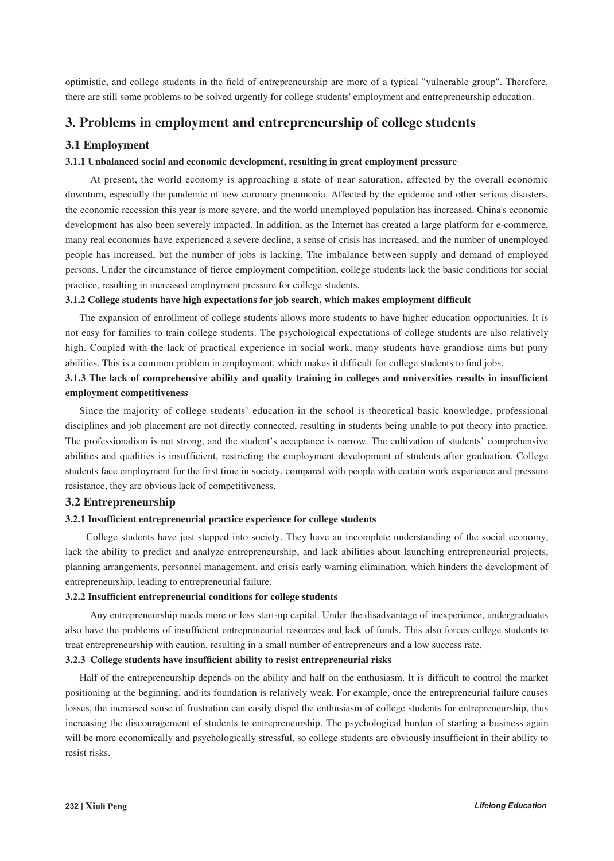optimistic, and college students in the field of entrepreneurship are more of a typical "vulnerable group". Therefore, there are still some problems to be solved urgently for college students' employment and entrepreneurship education.

### **3. Problems in employment and entrepreneurship of college students**

#### **3.1 Employment**

#### **3.1.1 Unbalanced social and economic development, resulting in great employment pressure**

At present, the world economy is approaching a state of near saturation, affected by the overall economic downturn, especially the pandemic of new coronary pneumonia. Affected by the epidemic and other serious disasters, the economic recession this year is more severe, and the world unemployed population has increased. China's economic development has also been severely impacted. In addition, as the Internet has created a large platform for e-commerce, many real economies have experienced a severe decline, a sense of crisis has increased, and the number of unemployed people has increased, but the number of jobs is lacking. The imbalance between supply and demand of employed persons. Under the circumstance of fierce employment competition, college students lack the basic conditions for social practice, resulting in increased employment pressure for college students.

#### **3.1.2 College students have high expectations for job search, which makes employment difficult**

The expansion of enrollment of college students allows more students to have higher education opportunities. It is not easy for families to train college students. The psychological expectations of college students are also relatively high. Coupled with the lack of practical experience in social work, many students have grandiose aims but puny abilities. This is a common problem in employment, which makes it difficult for college students to find jobs.

### 3.1.3 The lack of comprehensive ability and quality training in colleges and universities results in insufficient **employment competitiveness**

Since the majority of college students' education in the school is theoretical basic knowledge, professional disciplines and job placement are not directly connected, resulting in students being unable to put theory into practice. The professionalism is not strong, and the student's acceptance is narrow. The cultivation of students' comprehensive abilities and qualities is insufficient, restricting the employment development of students after graduation. College students face employment for the first time in society, compared with people with certain work experience and pressure resistance, they are obvious lack of competitiveness.

#### **3.2 Entrepreneurship**

#### **3.2.1 Insufficient entrepreneurial practice experience for college students**

 College students have just stepped into society. They have an incomplete understanding of the social economy, lack the ability to predict and analyze entrepreneurship, and lack abilities about launching entrepreneurial projects, planning arrangements, personnel management, and crisis early warning elimination, which hinders the development of entrepreneurship, leading to entrepreneurial failure.

#### **3.2.2 Insufficient entrepreneurial conditions for college students**

 Any entrepreneurship needs more or less start-up capital. Under the disadvantage of inexperience, undergraduates also have the problems of insufficient entrepreneurial resources and lack of funds. This also forces college students to treat entrepreneurship with caution, resulting in a small number of entrepreneurs and a low success rate.

#### **3.2.3 College students have insufficient ability to resist entrepreneurial risks**

Half of the entrepreneurship depends on the ability and half on the enthusiasm. It is difficult to control the market positioning at the beginning, and its foundation is relatively weak. For example, once the entrepreneurial failure causes losses, the increased sense of frustration can easily dispel the enthusiasm of college students for entrepreneurship, thus increasing the discouragement of students to entrepreneurship. The psychological burden of starting a business again will be more economically and psychologically stressful, so college students are obviously insufficient in their ability to resist risks.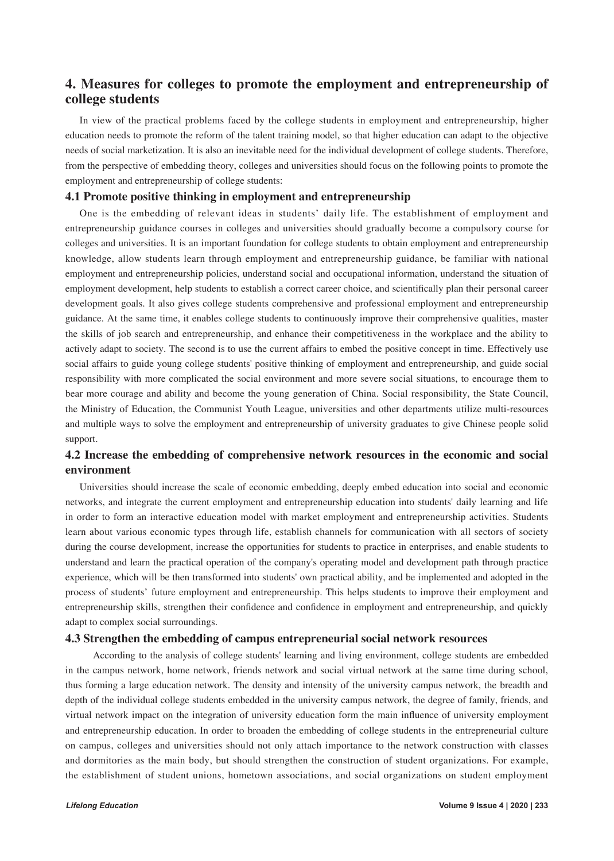## **4. Measures for colleges to promote the employment and entrepreneurship of college students**

In view of the practical problems faced by the college students in employment and entrepreneurship, higher education needs to promote the reform of the talent training model, so that higher education can adapt to the objective needs of social marketization. It is also an inevitable need for the individual development of college students. Therefore, from the perspective of embedding theory, colleges and universities should focus on the following points to promote the employment and entrepreneurship of college students:

#### **4.1 Promote positive thinking in employment and entrepreneurship**

One is the embedding of relevant ideas in students' daily life. The establishment of employment and entrepreneurship guidance courses in colleges and universities should gradually become a compulsory course for colleges and universities. It is an important foundation for college students to obtain employment and entrepreneurship knowledge, allow students learn through employment and entrepreneurship guidance, be familiar with national employment and entrepreneurship policies, understand social and occupational information, understand the situation of employment development, help students to establish a correct career choice, and scientifically plan their personal career development goals. It also gives college students comprehensive and professional employment and entrepreneurship guidance. At the same time, it enables college students to continuously improve their comprehensive qualities, master the skills of job search and entrepreneurship, and enhance their competitiveness in the workplace and the ability to actively adapt to society. The second is to use the current affairs to embed the positive concept in time. Effectively use social affairs to guide young college students' positive thinking of employment and entrepreneurship, and guide social responsibility with more complicated the social environment and more severe social situations, to encourage them to bear more courage and ability and become the young generation of China. Social responsibility, the State Council, the Ministry of Education, the Communist Youth League, universities and other departments utilize multi-resources and multiple ways to solve the employment and entrepreneurship of university graduates to give Chinese people solid support.

## **4.2 Increase the embedding of comprehensive network resources in the economic and social environment**

Universities should increase the scale of economic embedding, deeply embed education into social and economic networks, and integrate the current employment and entrepreneurship education into students' daily learning and life in order to form an interactive education model with market employment and entrepreneurship activities. Students learn about various economic types through life, establish channels for communication with all sectors of society during the course development, increase the opportunities for students to practice in enterprises, and enable students to understand and learn the practical operation of the company's operating model and development path through practice experience, which will be then transformed into students' own practical ability, and be implemented and adopted in the process of students' future employment and entrepreneurship. This helps students to improve their employment and entrepreneurship skills, strengthen their confidence and confidence in employment and entrepreneurship, and quickly adapt to complex social surroundings.

#### **4.3 Strengthen the embedding of campus entrepreneurial social network resources**

 According to the analysis of college students' learning and living environment, college students are embedded in the campus network, home network, friends network and social virtual network at the same time during school, thus forming a large education network. The density and intensity of the university campus network, the breadth and depth of the individual college students embedded in the university campus network, the degree of family, friends, and virtual network impact on the integration of university education form the main influence of university employment and entrepreneurship education. In order to broaden the embedding of college students in the entrepreneurial culture on campus, colleges and universities should not only attach importance to the network construction with classes and dormitories as the main body, but should strengthen the construction of student organizations. For example, the establishment of student unions, hometown associations, and social organizations on student employment